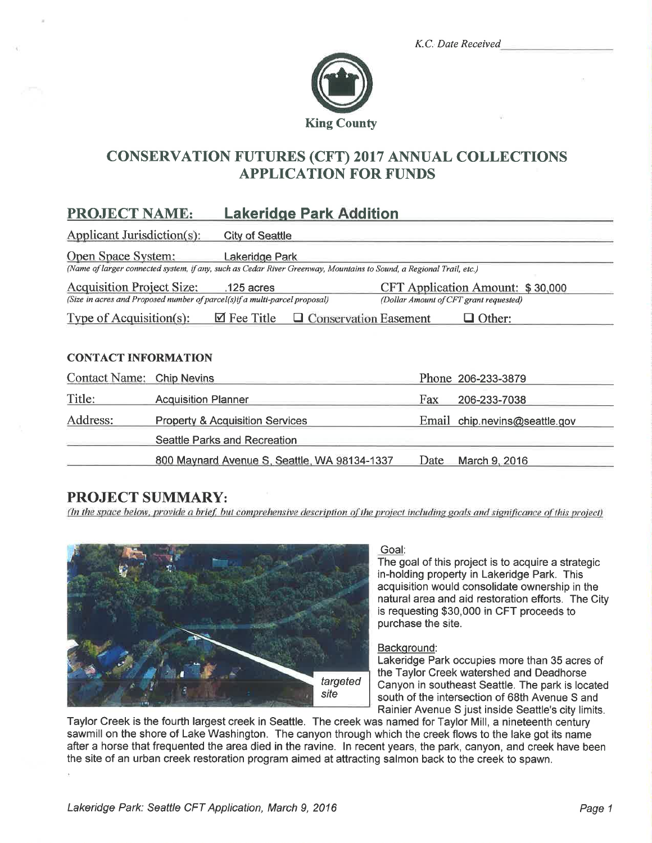|  | K.C. Date Received |  |
|--|--------------------|--|
|  |                    |  |



# CONSERVATION FUTURES (CFT) 2017 ANNUAL COLLECTIONS APPLICATION FOR FUNDS

# PROJECT NAME: Lakeridge Park Addition

Applicant Jurisdiction( $s$ ): City of Seattle Onen Snace Svstem: Lakeridoe Park (Name of larger connected system, if any, such as Cedar River Greenway, Mountains to Sound, a Regional Trail, etc.) Acquisition Project Size: 125 acres CFT Application Amount: \$30,000 (Size in acres and Proposed number of parcel(s)if a multi-parcel proposal) Type of Acquisition(s):  $\Box$  Fee Title (Dollar Amount of CFT grant requested)  $\Box$  Conservation Easement  $\Box$  Other:

## CONTACT INFORMATION

| Contact Name: Chip Nevins |                                              |      | Phone 206-233-3879            |
|---------------------------|----------------------------------------------|------|-------------------------------|
| Title:                    | <b>Acquisition Planner</b>                   | Fax  | 206-233-7038                  |
| Address:                  | <b>Property &amp; Acquisition Services</b>   |      | Email chip.nevins@seattle.gov |
|                           | Seattle Parks and Recreation                 |      |                               |
|                           | 800 Maynard Avenue S, Seattle, WA 98134-1337 | Date | March 9, 2016                 |

# PROJECT SUMMARY:

(In the space below, provide a brief, but comprehensive description of the project including goals and significance of this project)



### Goal:

The goal of this project is to acquire a strategic in-holding property in Lakeridge Park. This acquisition would consolidate ownership in the natural area and aid restoration efforts. The City is requesting \$30,000 in CFT proceeds to purchase the site.

### Backqround:

Lakeridge Park occupies more than 35 acres of the Taylor Creek watershed and Deadhorse Canyon in southeast Seattle. The park is located south of the intersection of 68th Avenue S and Rainier Avenue S just inside Seattle's city limits.

Taylor Creek is the fourth largest creek in Seattle. The creek was named for Taylor Mill, a nineteenth century sawmill on the shore of Lake Washington. The canyon through which the creek flows to the lake got its name after a horse that frequented the area died in the ravine. ln recent years, the park, canyon, and creek have been the site of an urban creek restoration program aimed at attracting salmon back to the creek to spawn.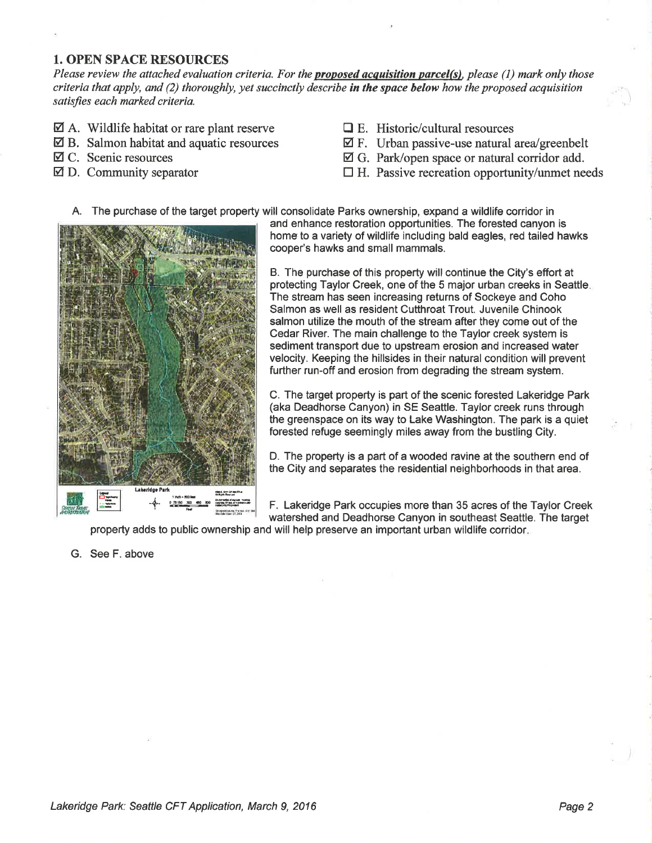### 1. OPEN SPACE RESOURCES

Please review the attached evaluation criteria. For the **proposed acquisition parcel(s)**, please (1) mark only those criteria that apply, and (2) thoroughly, yet succinctly describe in the space below how the proposed acquisition satisfies each marked criteria.

- $\boxtimes$  A. Wildlife habitat or rare plant reserve
- $\boxtimes$  B. Salmon habitat and aquatic resources
- EI C. Scenic resources
- Ø D. Community separator
- $\Box$  E. Historic/cultural resources
- $\boxtimes$  F. Urban passive-use natural area/greenbelt
- Ø G. Park/open space or natural corridor add.
- $\Box$  H. Passive recreation opportunity/unmet needs
- A. The purchase of the target property will consolidate Parks ownership, expand a wildlife corridor in



and enhance restoration opportunities. The forested canyon is home to a variety of wildlife including bald eagles, red tailed hawks cooper's hawks and small mammals.

B. The purchase of this property will continue the City's effort at protecting Taylor Creek, one of the 5 major urban creeks in Seattle The stream has seen increasing returns of Sockeye and Coho Salmon as well as resident Cutthroat Trout. Juvenile Chinook salmon utilize the mouth of the stream after they come out of the Cedar River. The main challenge to the Taylor creek system is sediment transport due to upstream erosion and increased water velocity. Keeping the hillsides in their natural condition will prevent further run-off and erosion from degrading the stream system.

C. The target property is part of the scenic forested Lakeridge Park (aka Deadhorse Canyon) in SE Seattle. Taylor creek runs through the greenspace on its way to Lake Washington. The park is a quiet forested refuge seemingly miles away from the bustling Gity.

D. The property is a part of a wooded ravine at the southern end of the City and separates the residential neighborhoods in that area.

F. Lakeridge Park occupies more than 35 acres of the Taylor Creek watershed and Deadhorse Canyon in southeast Seattle. The target

property adds to public ownership and will help preserve an important urban wildlife corridor

G. See F. above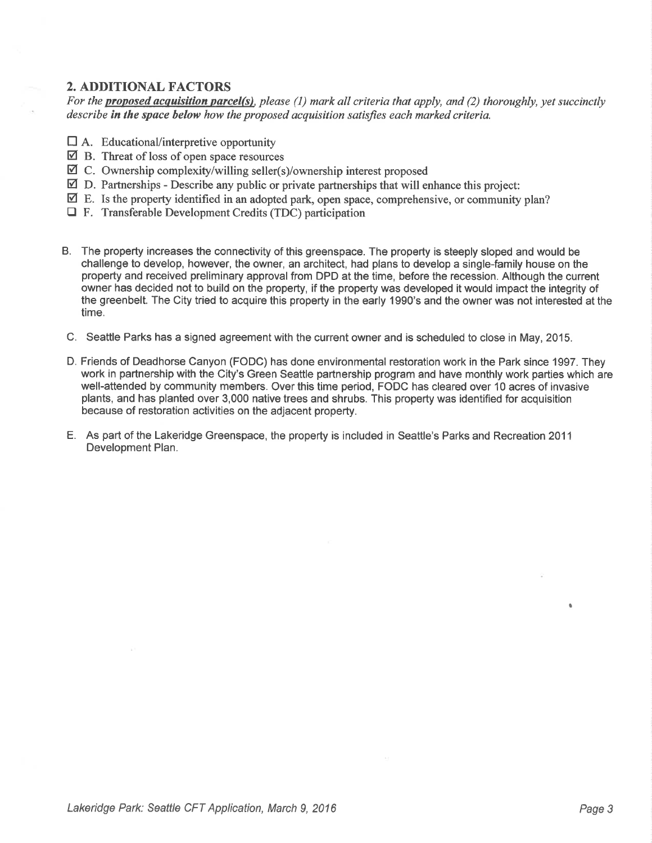# 2. ADDITIONAL FACTORS

For the **proposed acquisition parcel(s)**, please (1) mark all criteria that apply, and (2) thoroughly, yet succinctly describe in the space below how the proposed acquisition satisfies each marked criteria.

- $\Box$  A. Educational/interpretive opportunity
- $\overline{2}$  B. Threat of loss of open space resources
- ⊠ C. Ownership complexity/willing seller(s)/ownership interest proposed
- $\boxtimes$  D. Partnerships Describe any public or private partnerships that will enhance this project:
- $\boxtimes$  E. Is the property identified in an adopted park, open space, comprehensive, or community plan?
- □ F. Transferable Development Credits (TDC) participation
- B. The property increases the connectivity of this greenspace. The property is steeply sloped and would be challenge to develop, however, the owner, an architect, had plans to develop a single-family house on the property and received preliminary approval from DPD at the time, before the recession. Although the current owner has decided not to build on the property, if the property was developed it would impact the integrity of the greenbelt. The City tried to acquire this property in the early 1990's and the owner was not interested at the time.
- C. Seattle Parks has a signed agreement with the current owner and is scheduled to close in May, 2015.
- D. Friends of Deadhorse Canyon (FODC) has done environmental restoration work in the Park since 1997. They work in partnership with the City's Green Seattle partnership program and have monthly work parties which are well-attended by community members. Over this time period, FODC has cleared over 10 acres of invasive plants, and has planted over 3,000 native trees and shrubs. This property was identified for acquisition because of restoration activities on the adjacent property.
- E. As part of the Lakeridge Greenspace, the property is included in Seattle's Parks and Recreation <sup>2011</sup> Development Plan.

**I**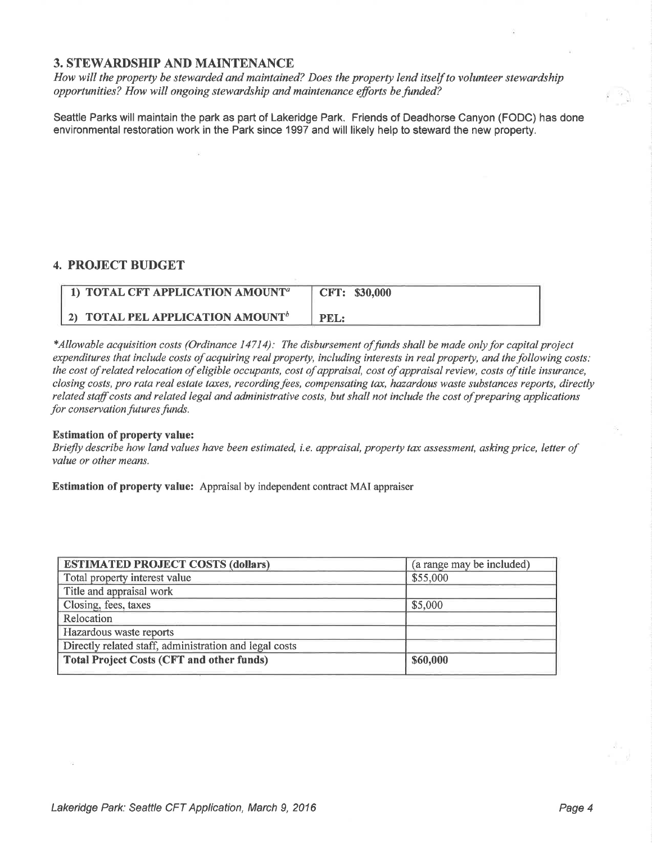## 3. STEWARDSHIP AND MAINTENANCE

How will the property be stewarded and maintained? Does the property lend itself to volunteer stewardship opportunities? How will ongoing stewardship and maintenance efforts be funded?

Seattle Parks will maintain the park as part of Lakeridge Park. Friends of Deadhorse Canyon (FODC) has done environmental restoration work in the Park since 1997 and will likely help to steward the new property.

## 4. PROJECT BUDGET

| 1) TOTAL CFT APPLICATION AMOUNT <sup>a</sup> | CFT: \$30,000 |
|----------------------------------------------|---------------|
| 2) TOTAL PEL APPLICATION AMOUNT <sup>b</sup> | <b>PEL:</b>   |

\*Allowable acquisition costs (Ordinance 14714): The disbursement offunds shall be made onlyþr capital project expenditures that include costs of acquiring real property, including interests in real property, and the following costs: the cost of related relocation of eligible occupants, cost of appraisal, cost of appraisal review, costs of title insurance, closing costs, pro rata real estate taxes, recording fees, compensating tax, hazardous waste substances reports, directly related staff costs and related legal and administrative costs, but shall not include the cost of preparing applications for conservation futures funds.

#### Estimation of property value:

Briefly describe how land values have been estimated, i.e. appraisal, property tax assessment, asking price, letter of value or other means.

Estimation of property value: Appraisal by independent contract MAI appraiser

| (a range may be included) |
|---------------------------|
| \$55,000                  |
|                           |
| \$5,000                   |
|                           |
|                           |
|                           |
| \$60,000                  |
|                           |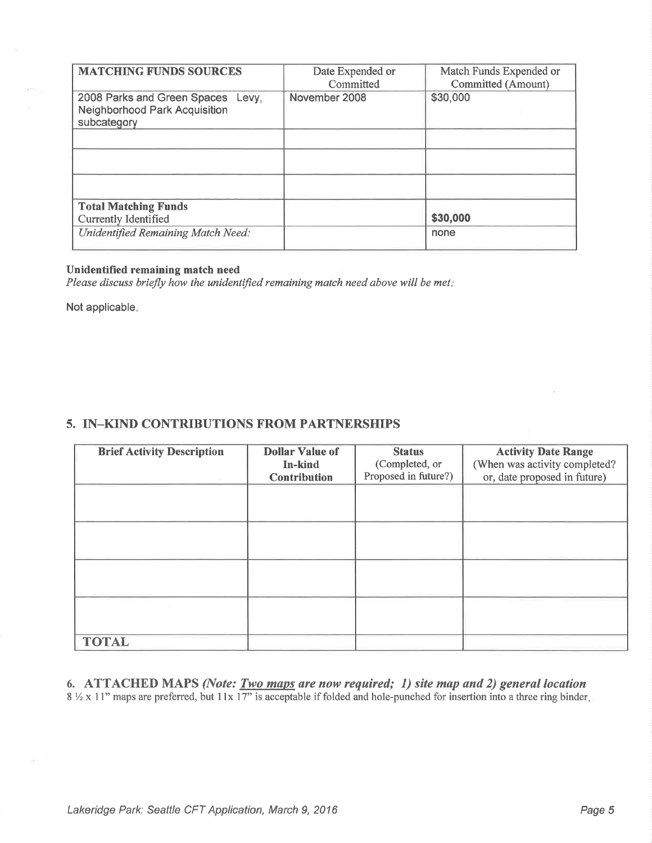| <b>MATCHING FUNDS SOURCES</b>                                                            | Date Expended or<br>Committed | Match Funds Expended or<br>Committed (Amount) |
|------------------------------------------------------------------------------------------|-------------------------------|-----------------------------------------------|
| 2008 Parks and Green Spaces Levy,<br><b>Neighborhood Park Acquisition</b><br>subcategory | November 2008                 | \$30,000                                      |
|                                                                                          |                               |                                               |
|                                                                                          |                               |                                               |
|                                                                                          |                               |                                               |
| <b>Total Matching Funds</b>                                                              |                               |                                               |
| <b>Currently Identified</b>                                                              |                               | \$30,000                                      |
| <b>Unidentified Remaining Match Need:</b>                                                |                               | none                                          |
|                                                                                          |                               |                                               |

#### Unidentified remaining match need

Please discuss briefly how the unidentified remaining match need above will be met.

Not applicable

## 5. IN\_KIND CONTRIBUTIONS FROM PARTNERSHIPS

| <b>Brief Activity Description</b> | <b>Dollar Value of</b><br>In-kind<br><b>Contribution</b> | <b>Status</b><br>(Completed, or<br>Proposed in future?) | <b>Activity Date Range</b><br>(When was activity completed?<br>or, date proposed in future) |
|-----------------------------------|----------------------------------------------------------|---------------------------------------------------------|---------------------------------------------------------------------------------------------|
|                                   |                                                          |                                                         |                                                                                             |
|                                   |                                                          |                                                         |                                                                                             |
|                                   |                                                          |                                                         |                                                                                             |
|                                   |                                                          |                                                         |                                                                                             |
| <b>TOTAL</b>                      |                                                          |                                                         |                                                                                             |

6. ATTACHED MAPS (Note:  $Two$  maps are now required; 1) site map and 2) general location  $8\frac{1}{2}$  x 11" maps are preferred, but 11x 17" is acceptable if folded and hole-punched for insertion into a three ring binder.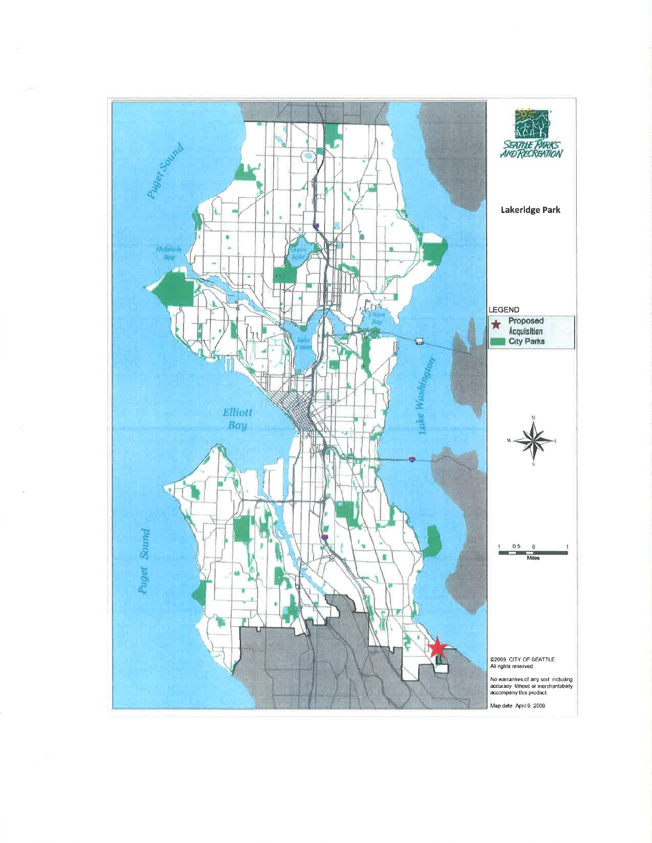